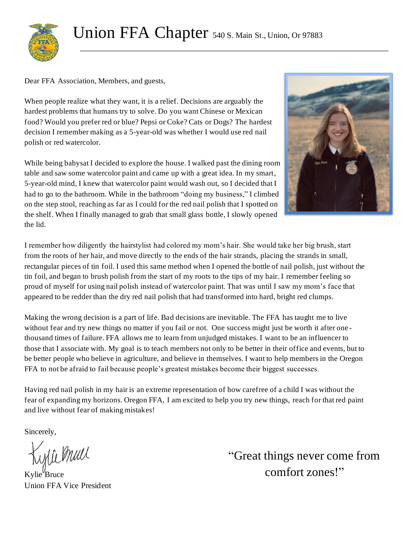

Dear FFA Association, Members, and guests,

When people realize what they want, it is a relief. Decisions are arguably the hardest problems that humans try to solve. Do you want Chinese or Mexican food? Would you prefer red or blue? Pepsi or Coke? Cats or Dogs? The hardest decision I remember making as a 5-year-old was whether I would use red nail polish or red watercolor.

While being babysat I decided to explore the house. I walked past the dining room table and saw some watercolor paint and came up with a great idea. In my smart, 5-year-old mind, I knew that watercolor paint would wash out, so I decided that I had to go to the bathroom. While in the bathroom "doing my business," I climbed on the step stool, reaching as far as I could for the red nail polish that I spotted on the shelf. When I finally managed to grab that small glass bottle, I slowly opened the lid.



I remember how diligently the hairstylist had colored my mom's hair. She would take her big brush, start from the roots of her hair, and move directly to the ends of the hair strands, placing the strands in small, rectangular pieces of tin foil. I used this same method when I opened the bottle of nail polish, just without the tin foil, and began to brush polish from the start of my roots to the tips of my hair. I remember feeling so proud of myself for using nail polish instead of watercolor paint. That was until I saw my mom's face that appeared to be redder than the dry red nail polish that had transformed into hard, bright red clumps.

Making the wrong decision is a part of life. Bad decisions are inevitable. The FFA has taught me to live without fear and try new things no matter if you fail or not. One success might just be worth it after onethousand times of failure. FFA allows me to learn from unjudged mistakes. I want to be an influencer to those that I associate with. My goal is to teach members not only to be better in their office and events, but to be better people who believe in agriculture, and believe in themselves. I want to help members in the Oregon FFA to not be afraid to fail because people's greatest mistakes become their biggest successes.

Having red nail polish in my hair is an extreme representation of how carefree of a child I was without the fear of expanding my horizons. Oregon FFA, I am excited to help you try new things, reach for that red paint and live without fear of making mistakes!

Sincerely,

Mic mull

Kylie Bruce Union FFA Vice President

"Great things never come from comfort zones!"